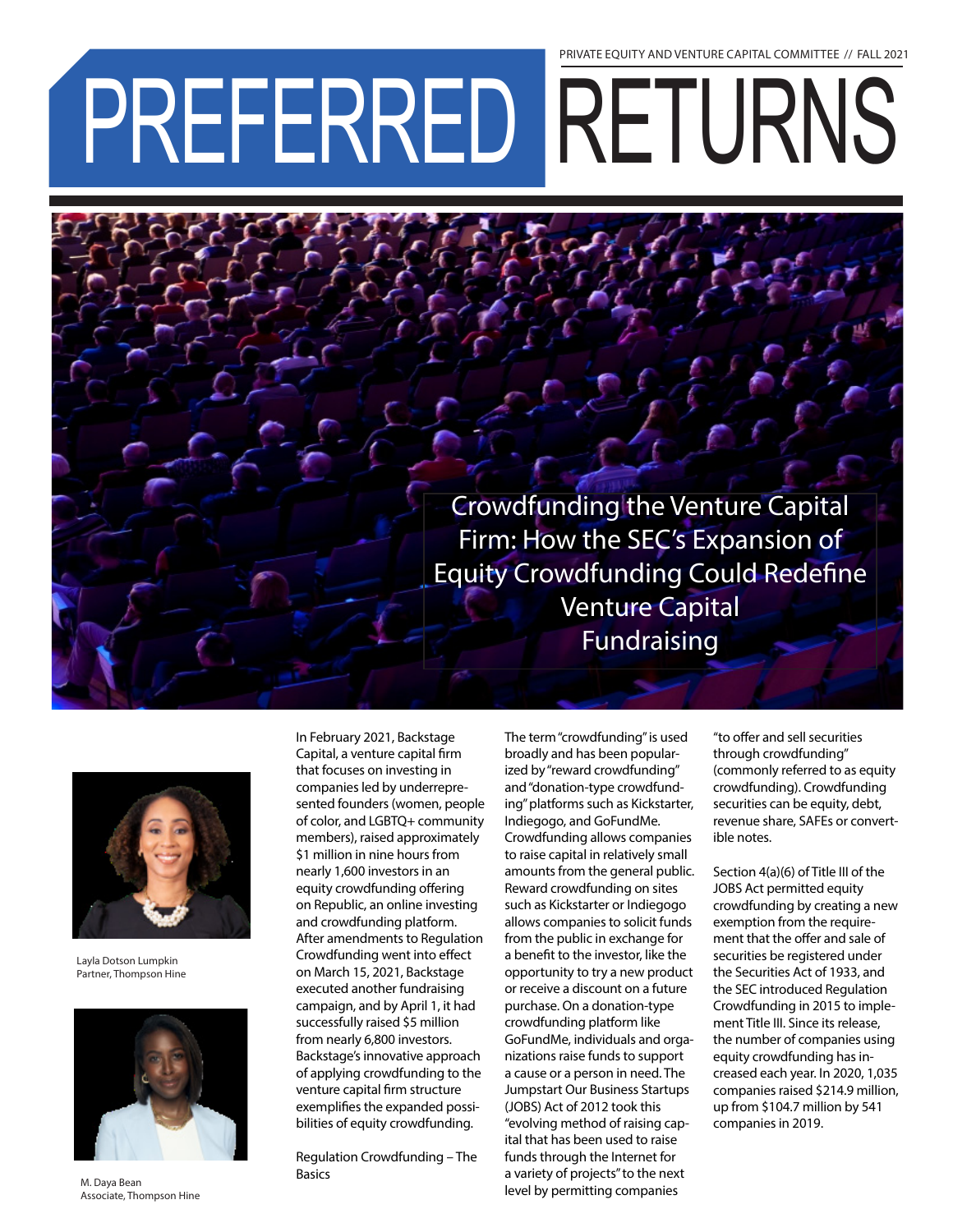## PREFERRED RETURNS PRIVATE EQUITY AND VENTURE CAPITAL COMMITTEE // FALL 2021

To The Township Crowdfunding the Venture Capital<br>Firm: How the SEC's Expansion of Firm: How the SEC's Expansion of Equity Crowdfunding Could Redefine Venture Capital Fundraising



Layla Dotson Lumpkin Partner, Thompson Hine



M. Daya Bean Associate, Thompson Hine

In February 2021, Backstage Capital, a venture capital firm that focuses on investing in companies led by underrepresented founders (women, people of color, and LGBTQ+ community members), raised approximately \$1 million in nine hours from nearly 1,600 investors in an equity crowdfunding offering on Republic, an online investing and crowdfunding platform. After amendments to Regulation Crowdfunding went into effect on March 15, 2021, Backstage executed another fundraising campaign, and by April 1, it had successfully raised \$5 million from nearly 6,800 investors. Backstage's innovative approach of applying crowdfunding to the venture capital firm structure exemplifies the expanded possibilities of equity crowdfunding.

ILPA 3.0: B A C K

Regulation Crowdfunding – The **Basics** 

The term "crowdfunding" is used broadly and has been popularized by "reward crowdfunding" and "donation-type crowdfunding" platforms such as Kickstarter, Indiegogo, and GoFundMe. Crowdfunding allows companies to raise capital in relatively small amounts from the general public. Reward crowdfunding on sites such as Kickstarter or Indiegogo allows companies to solicit funds from the public in exchange for a benefit to the investor, like the opportunity to try a new product or receive a discount on a future purchase. On a donation-type crowdfunding platform like GoFundMe, individuals and organizations raise funds to support a cause or a person in need. The Jumpstart Our Business Startups (JOBS) Act of 2012 took this "evolving method of raising capital that has been used to raise funds through the Internet for a variety of projects" to the next level by permitting companies

"to offer and sell securities through crowdfunding" (commonly referred to as equity crowdfunding). Crowdfunding securities can be equity, debt, revenue share, SAFEs or convertible notes.

Section 4(a)(6) of Title III of the JOBS Act permitted equity crowdfunding by creating a new exemption from the requirement that the offer and sale of securities be registered under the Securities Act of 1933, and the SEC introduced Regulation Crowdfunding in 2015 to implement Title III. Since its release, the number of companies using equity crowdfunding has increased each year. In 2020, 1,035 companies raised \$214.9 million, up from \$104.7 million by 541 companies in 2019.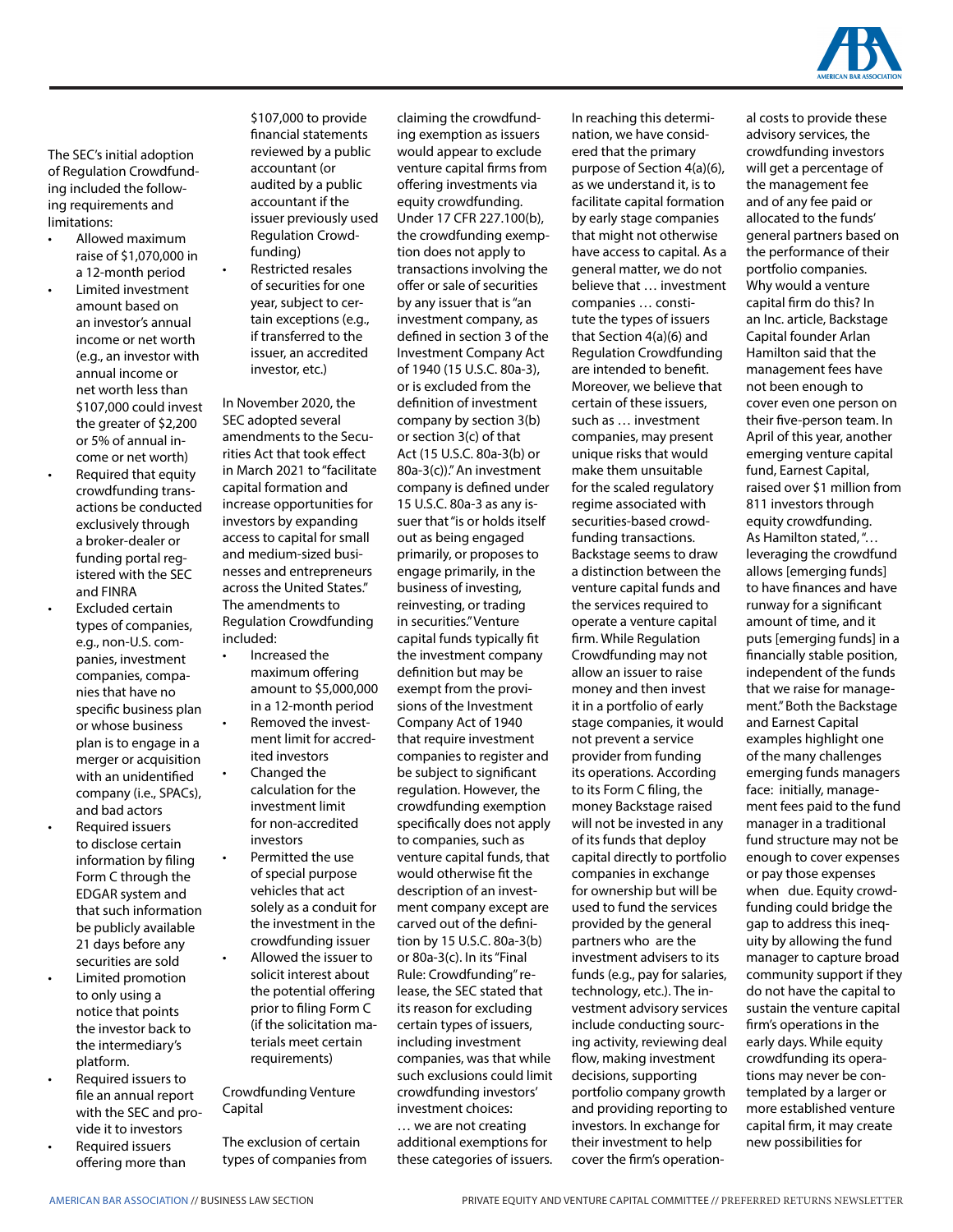

The SEC's initial adoption of Regulation Crowdfunding included the following requirements and limitations:

- Allowed maximum raise of \$1,070,000 in a 12-month period
- Limited investment amount based on an investor's annual income or net worth (e.g., an investor with annual income or net worth less than \$107,000 could invest the greater of \$2,200 or 5% of annual income or net worth)
- Required that equity crowdfunding transactions be conducted exclusively through a broker-dealer or funding portal registered with the SEC and FINRA
- Excluded certain types of companies, e.g., non-U.S. companies, investment companies, companies that have no specific business plan or whose business plan is to engage in a merger or acquisition with an unidentified company (i.e., SPACs), and bad actors
- Required issuers to disclose certain information by filing Form C through the EDGAR system and that such information be publicly available 21 days before any securities are sold
- Limited promotion to only using a notice that points the investor back to the intermediary's platform.
- Required issuers to file an annual report with the SEC and provide it to investors
- Required issuers offering more than

\$107,000 to provide financial statements reviewed by a public accountant (or audited by a public accountant if the issuer previously used Regulation Crowdfunding)

• Restricted resales of securities for one year, subject to certain exceptions (e.g., if transferred to the issuer, an accredited investor, etc.)

In November 2020, the SEC adopted several amendments to the Securities Act that took effect in March 2021 to "facilitate capital formation and increase opportunities for investors by expanding access to capital for small and medium-sized businesses and entrepreneurs across the United States." The amendments to Regulation Crowdfunding included:

- Increased the maximum offering amount to \$5,000,000 in a 12-month period
- Removed the investment limit for accredited investors
- Changed the calculation for the investment limit for non-accredited investors
- Permitted the use of special purpose vehicles that act solely as a conduit for the investment in the crowdfunding issuer
- Allowed the issuer to solicit interest about the potential offering prior to filing Form C (if the solicitation materials meet certain requirements)

## Crowdfunding Venture Capital

The exclusion of certain types of companies from claiming the crowdfunding exemption as issuers would appear to exclude venture capital firms from offering investments via equity crowdfunding. Under 17 CFR 227.100(b), the crowdfunding exemption does not apply to transactions involving the offer or sale of securities by any issuer that is "an investment company, as defined in section 3 of the Investment Company Act of 1940 (15 U.S.C. 80a-3), or is excluded from the definition of investment company by section 3(b) or section 3(c) of that Act (15 U.S.C. 80a-3(b) or 80a-3(c))." An investment company is defined under 15 U.S.C. 80a-3 as any issuer that "is or holds itself out as being engaged primarily, or proposes to engage primarily, in the business of investing, reinvesting, or trading in securities." Venture capital funds typically fit the investment company definition but may be exempt from the provisions of the Investment Company Act of 1940 that require investment companies to register and be subject to significant regulation. However, the crowdfunding exemption specifically does not apply to companies, such as venture capital funds, that would otherwise fit the description of an investment company except are carved out of the definition by 15 U.S.C. 80a-3(b) or 80a-3(c). In its "Final Rule: Crowdfunding" release, the SEC stated that its reason for excluding certain types of issuers, including investment companies, was that while such exclusions could limit crowdfunding investors' investment choices: … we are not creating additional exemptions for

these categories of issuers.

In reaching this determination, we have considered that the primary purpose of Section 4(a)(6), as we understand it, is to facilitate capital formation by early stage companies that might not otherwise have access to capital. As a general matter, we do not believe that … investment companies … constitute the types of issuers that Section 4(a)(6) and Regulation Crowdfunding are intended to benefit. Moreover, we believe that certain of these issuers, such as … investment companies, may present unique risks that would make them unsuitable for the scaled regulatory regime associated with securities-based crowdfunding transactions. Backstage seems to draw a distinction between the venture capital funds and the services required to operate a venture capital firm. While Regulation Crowdfunding may not allow an issuer to raise money and then invest it in a portfolio of early stage companies, it would not prevent a service provider from funding its operations. According to its Form C filing, the money Backstage raised will not be invested in any of its funds that deploy capital directly to portfolio companies in exchange for ownership but will be used to fund the services provided by the general partners who are the investment advisers to its funds (e.g., pay for salaries, technology, etc.). The investment advisory services include conducting sourcing activity, reviewing deal flow, making investment decisions, supporting portfolio company growth and providing reporting to investors. In exchange for their investment to help cover the firm's operational costs to provide these advisory services, the crowdfunding investors will get a percentage of the management fee and of any fee paid or allocated to the funds' general partners based on the performance of their portfolio companies. Why would a venture capital firm do this? In an Inc. article, Backstage Capital founder Arlan Hamilton said that the management fees have not been enough to cover even one person on their five-person team. In April of this year, another emerging venture capital fund, Earnest Capital, raised over \$1 million from 811 investors through equity crowdfunding. As Hamilton stated, "… leveraging the crowdfund allows [emerging funds] to have finances and have runway for a significant amount of time, and it puts [emerging funds] in a financially stable position, independent of the funds that we raise for management." Both the Backstage and Earnest Capital examples highlight one of the many challenges emerging funds managers face: initially, management fees paid to the fund manager in a traditional fund structure may not be enough to cover expenses or pay those expenses when due. Equity crowdfunding could bridge the gap to address this inequity by allowing the fund manager to capture broad community support if they do not have the capital to sustain the venture capital firm's operations in the early days. While equity crowdfunding its operations may never be contemplated by a larger or more established venture capital firm, it may create new possibilities for